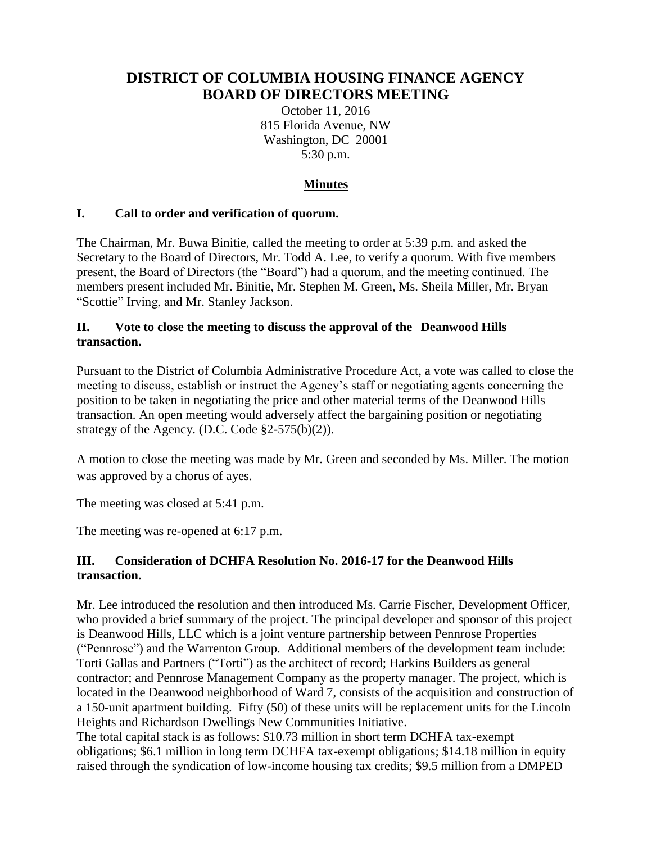# **DISTRICT OF COLUMBIA HOUSING FINANCE AGENCY BOARD OF DIRECTORS MEETING**

October 11, 2016 815 Florida Avenue, NW Washington, DC 20001 5:30 p.m.

## **Minutes**

### **I. Call to order and verification of quorum.**

The Chairman, Mr. Buwa Binitie, called the meeting to order at 5:39 p.m. and asked the Secretary to the Board of Directors, Mr. Todd A. Lee, to verify a quorum. With five members present, the Board of Directors (the "Board") had a quorum, and the meeting continued. The members present included Mr. Binitie, Mr. Stephen M. Green, Ms. Sheila Miller, Mr. Bryan "Scottie" Irving, and Mr. Stanley Jackson.

#### **II. Vote to close the meeting to discuss the approval of the Deanwood Hills transaction.**

Pursuant to the District of Columbia Administrative Procedure Act, a vote was called to close the meeting to discuss, establish or instruct the Agency's staff or negotiating agents concerning the position to be taken in negotiating the price and other material terms of the Deanwood Hills transaction. An open meeting would adversely affect the bargaining position or negotiating strategy of the Agency. (D.C. Code  $\S2-575(b)(2)$ ).

A motion to close the meeting was made by Mr. Green and seconded by Ms. Miller. The motion was approved by a chorus of ayes.

The meeting was closed at 5:41 p.m.

The meeting was re-opened at 6:17 p.m.

### **III. Consideration of DCHFA Resolution No. 2016-17 for the Deanwood Hills transaction.**

Mr. Lee introduced the resolution and then introduced Ms. Carrie Fischer, Development Officer, who provided a brief summary of the project. The principal developer and sponsor of this project is Deanwood Hills, LLC which is a joint venture partnership between Pennrose Properties ("Pennrose") and the Warrenton Group. Additional members of the development team include: Torti Gallas and Partners ("Torti") as the architect of record; Harkins Builders as general contractor; and Pennrose Management Company as the property manager. The project, which is located in the Deanwood neighborhood of Ward 7, consists of the acquisition and construction of a 150-unit apartment building. Fifty (50) of these units will be replacement units for the Lincoln Heights and Richardson Dwellings New Communities Initiative.

The total capital stack is as follows: \$10.73 million in short term DCHFA tax-exempt obligations; \$6.1 million in long term DCHFA tax-exempt obligations; \$14.18 million in equity raised through the syndication of low-income housing tax credits; \$9.5 million from a DMPED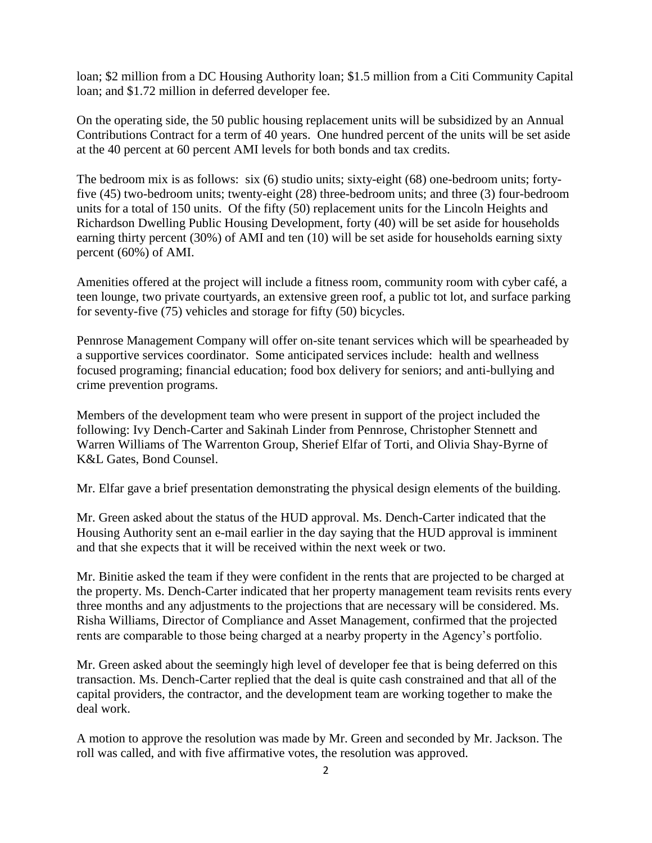loan; \$2 million from a DC Housing Authority loan; \$1.5 million from a Citi Community Capital loan; and \$1.72 million in deferred developer fee.

On the operating side, the 50 public housing replacement units will be subsidized by an Annual Contributions Contract for a term of 40 years. One hundred percent of the units will be set aside at the 40 percent at 60 percent AMI levels for both bonds and tax credits.

The bedroom mix is as follows: six (6) studio units; sixty-eight (68) one-bedroom units; fortyfive (45) two-bedroom units; twenty-eight (28) three-bedroom units; and three (3) four-bedroom units for a total of 150 units. Of the fifty (50) replacement units for the Lincoln Heights and Richardson Dwelling Public Housing Development, forty (40) will be set aside for households earning thirty percent (30%) of AMI and ten (10) will be set aside for households earning sixty percent (60%) of AMI.

Amenities offered at the project will include a fitness room, community room with cyber café, a teen lounge, two private courtyards, an extensive green roof, a public tot lot, and surface parking for seventy-five (75) vehicles and storage for fifty (50) bicycles.

Pennrose Management Company will offer on-site tenant services which will be spearheaded by a supportive services coordinator. Some anticipated services include: health and wellness focused programing; financial education; food box delivery for seniors; and anti-bullying and crime prevention programs.

Members of the development team who were present in support of the project included the following: Ivy Dench-Carter and Sakinah Linder from Pennrose, Christopher Stennett and Warren Williams of The Warrenton Group, Sherief Elfar of Torti, and Olivia Shay-Byrne of K&L Gates, Bond Counsel.

Mr. Elfar gave a brief presentation demonstrating the physical design elements of the building.

Mr. Green asked about the status of the HUD approval. Ms. Dench-Carter indicated that the Housing Authority sent an e-mail earlier in the day saying that the HUD approval is imminent and that she expects that it will be received within the next week or two.

Mr. Binitie asked the team if they were confident in the rents that are projected to be charged at the property. Ms. Dench-Carter indicated that her property management team revisits rents every three months and any adjustments to the projections that are necessary will be considered. Ms. Risha Williams, Director of Compliance and Asset Management, confirmed that the projected rents are comparable to those being charged at a nearby property in the Agency's portfolio.

Mr. Green asked about the seemingly high level of developer fee that is being deferred on this transaction. Ms. Dench-Carter replied that the deal is quite cash constrained and that all of the capital providers, the contractor, and the development team are working together to make the deal work.

A motion to approve the resolution was made by Mr. Green and seconded by Mr. Jackson. The roll was called, and with five affirmative votes, the resolution was approved.